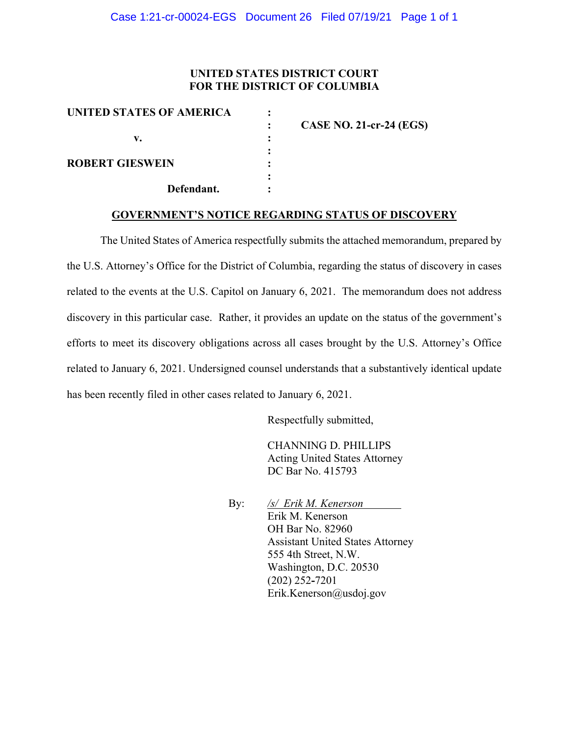## **UNITED STATES DISTRICT COURT FOR THE DISTRICT OF COLUMBIA**

| UNITED STATES OF AMERICA |                                |
|--------------------------|--------------------------------|
|                          | <b>CASE NO. 21-cr-24 (EGS)</b> |
| v.                       |                                |
|                          |                                |
| <b>ROBERT GIESWEIN</b>   |                                |
|                          |                                |
| Defendant.               |                                |

## **GOVERNMENT'S NOTICE REGARDING STATUS OF DISCOVERY**

The United States of America respectfully submits the attached memorandum, prepared by the U.S. Attorney's Office for the District of Columbia, regarding the status of discovery in cases related to the events at the U.S. Capitol on January 6, 2021. The memorandum does not address discovery in this particular case. Rather, it provides an update on the status of the government's efforts to meet its discovery obligations across all cases brought by the U.S. Attorney's Office related to January 6, 2021. Undersigned counsel understands that a substantively identical update has been recently filed in other cases related to January 6, 2021.

Respectfully submitted,

CHANNING D. PHILLIPS Acting United States Attorney DC Bar No. 415793

 By: */s/ Erik M. Kenerson* Erik M. Kenerson OH Bar No. 82960 Assistant United States Attorney 555 4th Street, N.W. Washington, D.C. 20530 (202) 252**-**7201 Erik.Kenerson@usdoj.gov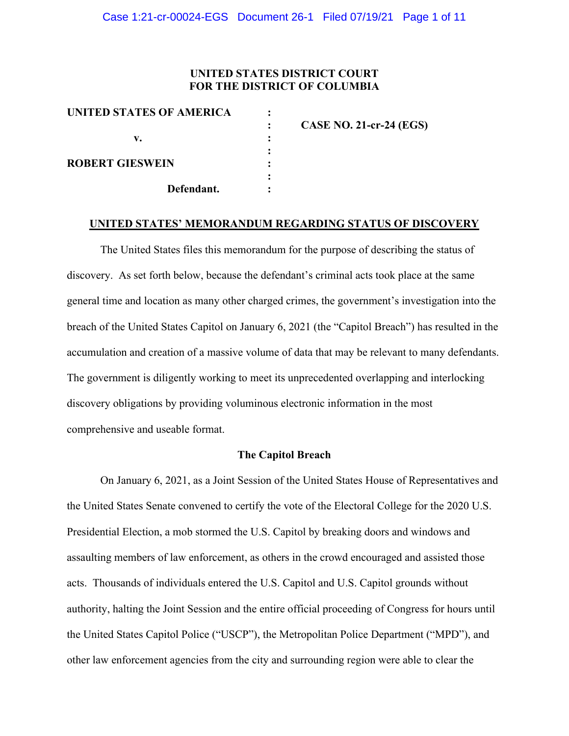## **UNITED STATES DISTRICT COURT FOR THE DISTRICT OF COLUMBIA**

| UNITED STATES OF AMERICA |                                |
|--------------------------|--------------------------------|
|                          | <b>CASE NO. 21-cr-24 (EGS)</b> |
| v.                       |                                |
|                          |                                |
| <b>ROBERT GIESWEIN</b>   |                                |
|                          |                                |
| Defendant.               |                                |
|                          |                                |

#### **UNITED STATES' MEMORANDUM REGARDING STATUS OF DISCOVERY**

The United States files this memorandum for the purpose of describing the status of discovery. As set forth below, because the defendant's criminal acts took place at the same general time and location as many other charged crimes, the government's investigation into the breach of the United States Capitol on January 6, 2021 (the "Capitol Breach") has resulted in the accumulation and creation of a massive volume of data that may be relevant to many defendants. The government is diligently working to meet its unprecedented overlapping and interlocking discovery obligations by providing voluminous electronic information in the most comprehensive and useable format.

### **The Capitol Breach**

On January 6, 2021, as a Joint Session of the United States House of Representatives and the United States Senate convened to certify the vote of the Electoral College for the 2020 U.S. Presidential Election, a mob stormed the U.S. Capitol by breaking doors and windows and assaulting members of law enforcement, as others in the crowd encouraged and assisted those acts. Thousands of individuals entered the U.S. Capitol and U.S. Capitol grounds without authority, halting the Joint Session and the entire official proceeding of Congress for hours until the United States Capitol Police ("USCP"), the Metropolitan Police Department ("MPD"), and other law enforcement agencies from the city and surrounding region were able to clear the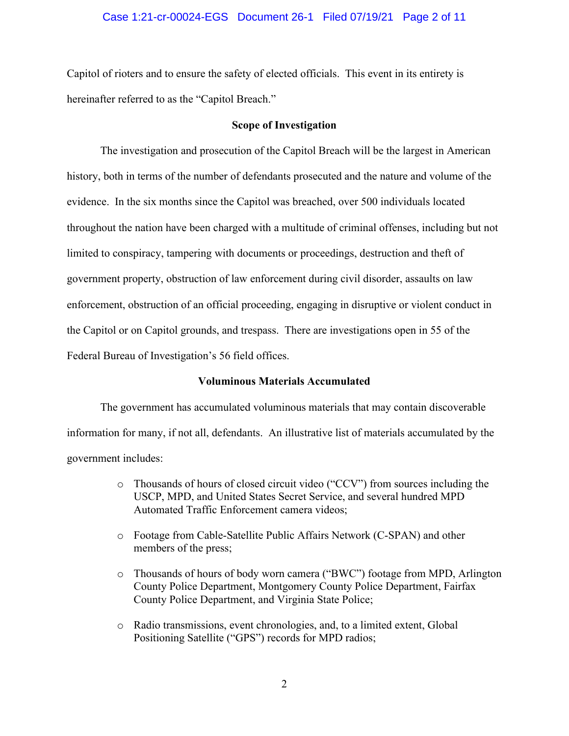### Case 1:21-cr-00024-EGS Document 26-1 Filed 07/19/21 Page 2 of 11

Capitol of rioters and to ensure the safety of elected officials. This event in its entirety is hereinafter referred to as the "Capitol Breach."

#### **Scope of Investigation**

The investigation and prosecution of the Capitol Breach will be the largest in American history, both in terms of the number of defendants prosecuted and the nature and volume of the evidence. In the six months since the Capitol was breached, over 500 individuals located throughout the nation have been charged with a multitude of criminal offenses, including but not limited to conspiracy, tampering with documents or proceedings, destruction and theft of government property, obstruction of law enforcement during civil disorder, assaults on law enforcement, obstruction of an official proceeding, engaging in disruptive or violent conduct in the Capitol or on Capitol grounds, and trespass. There are investigations open in 55 of the Federal Bureau of Investigation's 56 field offices.

#### **Voluminous Materials Accumulated**

The government has accumulated voluminous materials that may contain discoverable information for many, if not all, defendants. An illustrative list of materials accumulated by the government includes:

- o Thousands of hours of closed circuit video ("CCV") from sources including the USCP, MPD, and United States Secret Service, and several hundred MPD Automated Traffic Enforcement camera videos;
- o Footage from Cable-Satellite Public Affairs Network (C-SPAN) and other members of the press;
- o Thousands of hours of body worn camera ("BWC") footage from MPD, Arlington County Police Department, Montgomery County Police Department, Fairfax County Police Department, and Virginia State Police;
- o Radio transmissions, event chronologies, and, to a limited extent, Global Positioning Satellite ("GPS") records for MPD radios;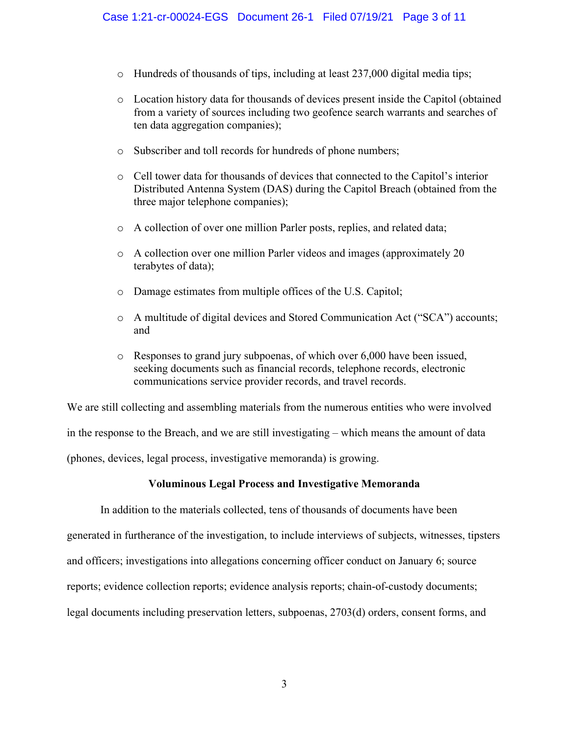- $\circ$  Hundreds of thousands of tips, including at least 237,000 digital media tips;
- o Location history data for thousands of devices present inside the Capitol (obtained from a variety of sources including two geofence search warrants and searches of ten data aggregation companies);
- o Subscriber and toll records for hundreds of phone numbers;
- o Cell tower data for thousands of devices that connected to the Capitol's interior Distributed Antenna System (DAS) during the Capitol Breach (obtained from the three major telephone companies);
- o A collection of over one million Parler posts, replies, and related data;
- o A collection over one million Parler videos and images (approximately 20 terabytes of data);
- o Damage estimates from multiple offices of the U.S. Capitol;
- o A multitude of digital devices and Stored Communication Act ("SCA") accounts; and
- o Responses to grand jury subpoenas, of which over 6,000 have been issued, seeking documents such as financial records, telephone records, electronic communications service provider records, and travel records.

We are still collecting and assembling materials from the numerous entities who were involved in the response to the Breach, and we are still investigating – which means the amount of data (phones, devices, legal process, investigative memoranda) is growing.

## **Voluminous Legal Process and Investigative Memoranda**

In addition to the materials collected, tens of thousands of documents have been generated in furtherance of the investigation, to include interviews of subjects, witnesses, tipsters and officers; investigations into allegations concerning officer conduct on January 6; source reports; evidence collection reports; evidence analysis reports; chain-of-custody documents; legal documents including preservation letters, subpoenas, 2703(d) orders, consent forms, and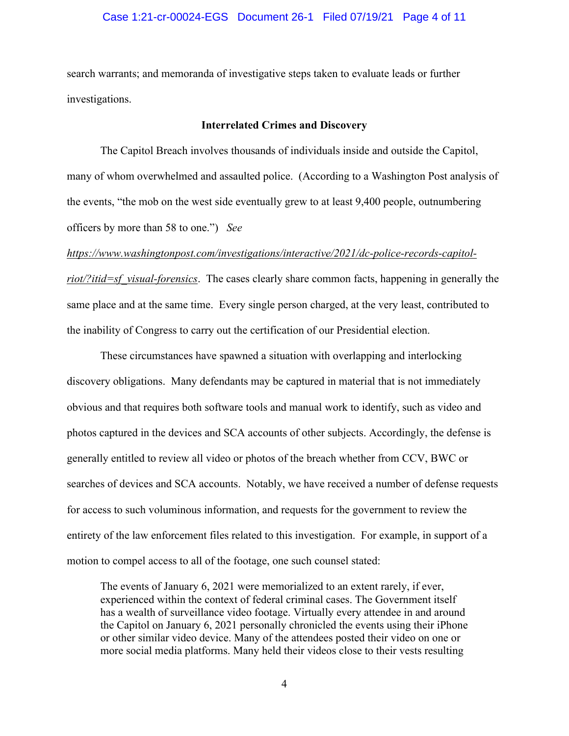### Case 1:21-cr-00024-EGS Document 26-1 Filed 07/19/21 Page 4 of 11

search warrants; and memoranda of investigative steps taken to evaluate leads or further investigations.

#### **Interrelated Crimes and Discovery**

The Capitol Breach involves thousands of individuals inside and outside the Capitol, many of whom overwhelmed and assaulted police. (According to a Washington Post analysis of the events, "the mob on the west side eventually grew to at least 9,400 people, outnumbering officers by more than 58 to one.") *See* 

#### *https://www.washingtonpost.com/investigations/interactive/2021/dc-police-records-capitol-*

*riot/?itid=sf\_visual-forensics*. The cases clearly share common facts, happening in generally the same place and at the same time. Every single person charged, at the very least, contributed to the inability of Congress to carry out the certification of our Presidential election.

These circumstances have spawned a situation with overlapping and interlocking discovery obligations. Many defendants may be captured in material that is not immediately obvious and that requires both software tools and manual work to identify, such as video and photos captured in the devices and SCA accounts of other subjects. Accordingly, the defense is generally entitled to review all video or photos of the breach whether from CCV, BWC or searches of devices and SCA accounts. Notably, we have received a number of defense requests for access to such voluminous information, and requests for the government to review the entirety of the law enforcement files related to this investigation. For example, in support of a motion to compel access to all of the footage, one such counsel stated:

The events of January 6, 2021 were memorialized to an extent rarely, if ever, experienced within the context of federal criminal cases. The Government itself has a wealth of surveillance video footage. Virtually every attendee in and around the Capitol on January 6, 2021 personally chronicled the events using their iPhone or other similar video device. Many of the attendees posted their video on one or more social media platforms. Many held their videos close to their vests resulting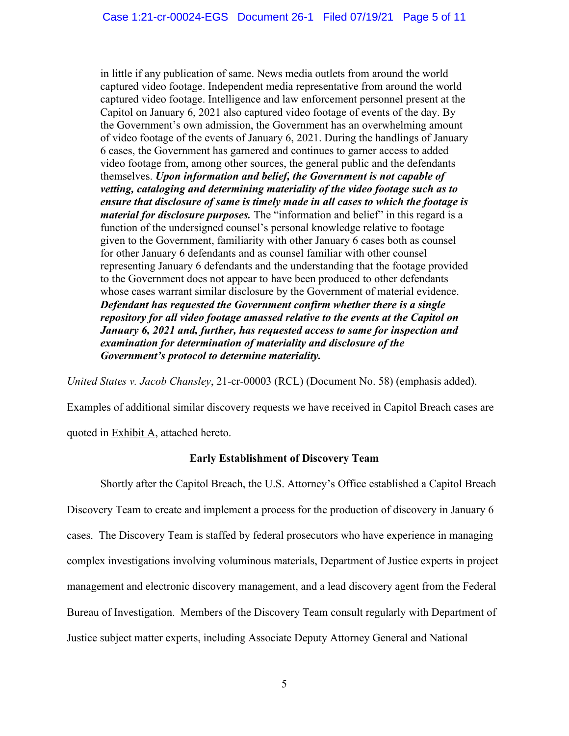in little if any publication of same. News media outlets from around the world captured video footage. Independent media representative from around the world captured video footage. Intelligence and law enforcement personnel present at the Capitol on January 6, 2021 also captured video footage of events of the day. By the Government's own admission, the Government has an overwhelming amount of video footage of the events of January 6, 2021. During the handlings of January 6 cases, the Government has garnered and continues to garner access to added video footage from, among other sources, the general public and the defendants themselves. *Upon information and belief, the Government is not capable of vetting, cataloging and determining materiality of the video footage such as to ensure that disclosure of same is timely made in all cases to which the footage is material for disclosure purposes.* The "information and belief" in this regard is a function of the undersigned counsel's personal knowledge relative to footage given to the Government, familiarity with other January 6 cases both as counsel for other January 6 defendants and as counsel familiar with other counsel representing January 6 defendants and the understanding that the footage provided to the Government does not appear to have been produced to other defendants whose cases warrant similar disclosure by the Government of material evidence. *Defendant has requested the Government confirm whether there is a single repository for all video footage amassed relative to the events at the Capitol on January 6, 2021 and, further, has requested access to same for inspection and examination for determination of materiality and disclosure of the Government's protocol to determine materiality.*

*United States v. Jacob Chansley*, 21-cr-00003 (RCL) (Document No. 58) (emphasis added).

Examples of additional similar discovery requests we have received in Capitol Breach cases are

quoted in Exhibit A, attached hereto.

## **Early Establishment of Discovery Team**

Shortly after the Capitol Breach, the U.S. Attorney's Office established a Capitol Breach Discovery Team to create and implement a process for the production of discovery in January 6 cases. The Discovery Team is staffed by federal prosecutors who have experience in managing complex investigations involving voluminous materials, Department of Justice experts in project management and electronic discovery management, and a lead discovery agent from the Federal Bureau of Investigation. Members of the Discovery Team consult regularly with Department of Justice subject matter experts, including Associate Deputy Attorney General and National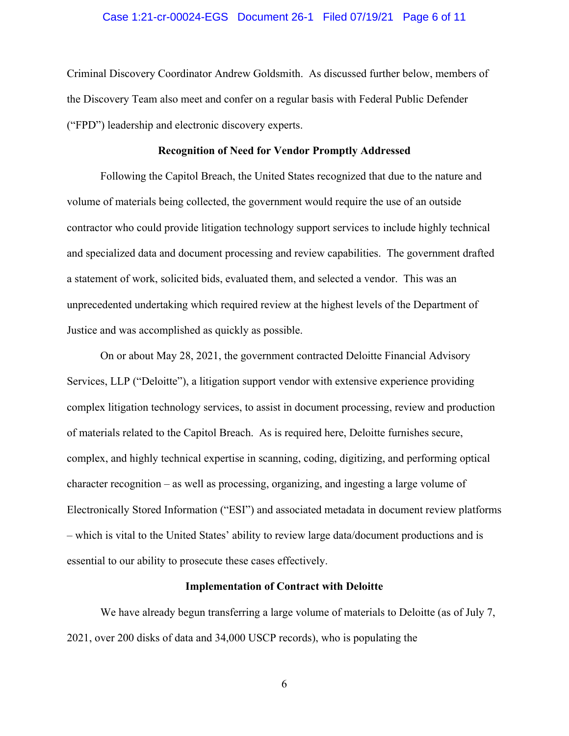#### Case 1:21-cr-00024-EGS Document 26-1 Filed 07/19/21 Page 6 of 11

Criminal Discovery Coordinator Andrew Goldsmith. As discussed further below, members of the Discovery Team also meet and confer on a regular basis with Federal Public Defender ("FPD") leadership and electronic discovery experts.

#### **Recognition of Need for Vendor Promptly Addressed**

Following the Capitol Breach, the United States recognized that due to the nature and volume of materials being collected, the government would require the use of an outside contractor who could provide litigation technology support services to include highly technical and specialized data and document processing and review capabilities. The government drafted a statement of work, solicited bids, evaluated them, and selected a vendor. This was an unprecedented undertaking which required review at the highest levels of the Department of Justice and was accomplished as quickly as possible.

On or about May 28, 2021, the government contracted Deloitte Financial Advisory Services, LLP ("Deloitte"), a litigation support vendor with extensive experience providing complex litigation technology services, to assist in document processing, review and production of materials related to the Capitol Breach. As is required here, Deloitte furnishes secure, complex, and highly technical expertise in scanning, coding, digitizing, and performing optical character recognition – as well as processing, organizing, and ingesting a large volume of Electronically Stored Information ("ESI") and associated metadata in document review platforms – which is vital to the United States' ability to review large data/document productions and is essential to our ability to prosecute these cases effectively.

#### **Implementation of Contract with Deloitte**

We have already begun transferring a large volume of materials to Deloitte (as of July 7, 2021, over 200 disks of data and 34,000 USCP records), who is populating the

6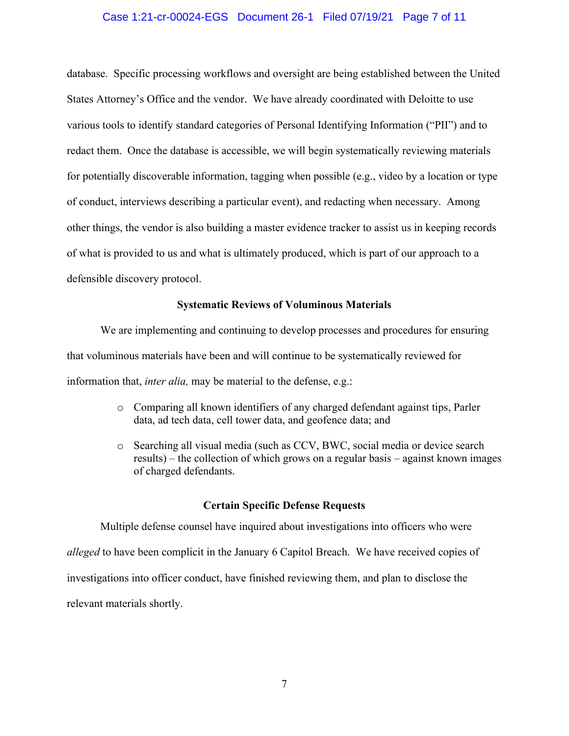### Case 1:21-cr-00024-EGS Document 26-1 Filed 07/19/21 Page 7 of 11

database. Specific processing workflows and oversight are being established between the United States Attorney's Office and the vendor. We have already coordinated with Deloitte to use various tools to identify standard categories of Personal Identifying Information ("PII") and to redact them. Once the database is accessible, we will begin systematically reviewing materials for potentially discoverable information, tagging when possible (e.g., video by a location or type of conduct, interviews describing a particular event), and redacting when necessary. Among other things, the vendor is also building a master evidence tracker to assist us in keeping records of what is provided to us and what is ultimately produced, which is part of our approach to a defensible discovery protocol.

### **Systematic Reviews of Voluminous Materials**

We are implementing and continuing to develop processes and procedures for ensuring that voluminous materials have been and will continue to be systematically reviewed for information that, *inter alia,* may be material to the defense, e.g.:

- o Comparing all known identifiers of any charged defendant against tips, Parler data, ad tech data, cell tower data, and geofence data; and
- o Searching all visual media (such as CCV, BWC, social media or device search results) – the collection of which grows on a regular basis – against known images of charged defendants.

#### **Certain Specific Defense Requests**

Multiple defense counsel have inquired about investigations into officers who were *alleged* to have been complicit in the January 6 Capitol Breach. We have received copies of investigations into officer conduct, have finished reviewing them, and plan to disclose the relevant materials shortly.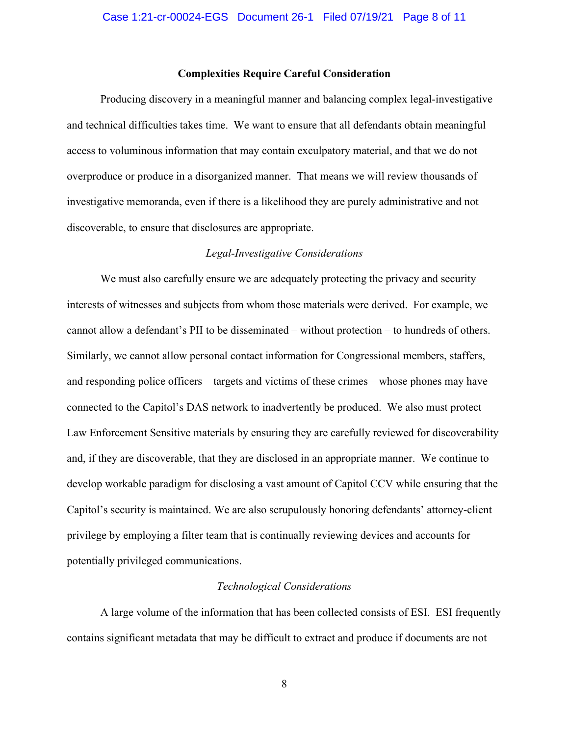#### **Complexities Require Careful Consideration**

Producing discovery in a meaningful manner and balancing complex legal-investigative and technical difficulties takes time. We want to ensure that all defendants obtain meaningful access to voluminous information that may contain exculpatory material, and that we do not overproduce or produce in a disorganized manner. That means we will review thousands of investigative memoranda, even if there is a likelihood they are purely administrative and not discoverable, to ensure that disclosures are appropriate.

### *Legal-Investigative Considerations*

We must also carefully ensure we are adequately protecting the privacy and security interests of witnesses and subjects from whom those materials were derived. For example, we cannot allow a defendant's PII to be disseminated – without protection – to hundreds of others. Similarly, we cannot allow personal contact information for Congressional members, staffers, and responding police officers – targets and victims of these crimes – whose phones may have connected to the Capitol's DAS network to inadvertently be produced. We also must protect Law Enforcement Sensitive materials by ensuring they are carefully reviewed for discoverability and, if they are discoverable, that they are disclosed in an appropriate manner. We continue to develop workable paradigm for disclosing a vast amount of Capitol CCV while ensuring that the Capitol's security is maintained. We are also scrupulously honoring defendants' attorney-client privilege by employing a filter team that is continually reviewing devices and accounts for potentially privileged communications.

#### *Technological Considerations*

A large volume of the information that has been collected consists of ESI. ESI frequently contains significant metadata that may be difficult to extract and produce if documents are not

8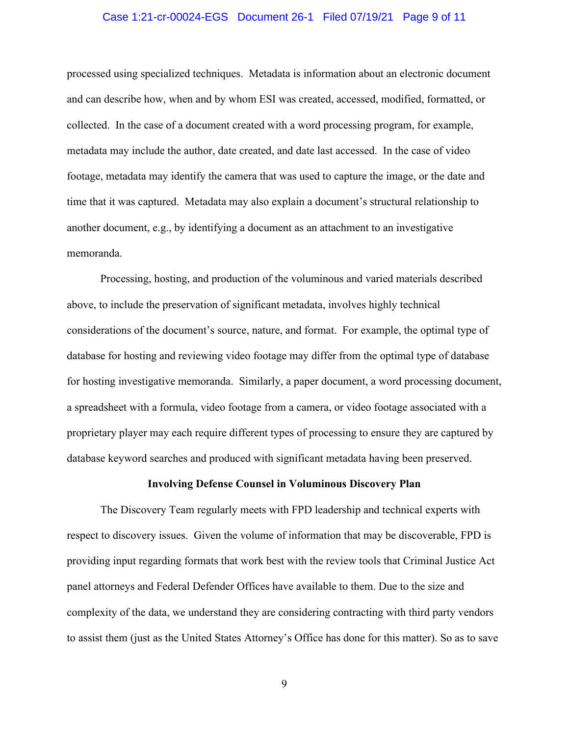### Case 1:21-cr-00024-EGS Document 26-1 Filed 07/19/21 Page 9 of 11

processed using specialized techniques. Metadata is information about an electronic document and can describe how, when and by whom ESI was created, accessed, modified, formatted, or collected. In the case of a document created with a word processing program, for example, metadata may include the author, date created, and date last accessed. In the case of video footage, metadata may identify the camera that was used to capture the image, or the date and time that it was captured. Metadata may also explain a document's structural relationship to another document, e.g., by identifying a document as an attachment to an investigative memoranda.

Processing, hosting, and production of the voluminous and varied materials described above, to include the preservation of significant metadata, involves highly technical considerations of the document's source, nature, and format. For example, the optimal type of database for hosting and reviewing video footage may differ from the optimal type of database for hosting investigative memoranda. Similarly, a paper document, a word processing document, a spreadsheet with a formula, video footage from a camera, or video footage associated with a proprietary player may each require different types of processing to ensure they are captured by database keyword searches and produced with significant metadata having been preserved.

### **Involving Defense Counsel in Voluminous Discovery Plan**

The Discovery Team regularly meets with FPD leadership and technical experts with respect to discovery issues. Given the volume of information that may be discoverable, FPD is providing input regarding formats that work best with the review tools that Criminal Justice Act panel attorneys and Federal Defender Offices have available to them. Due to the size and complexity of the data, we understand they are considering contracting with third party vendors to assist them (just as the United States Attorney's Office has done for this matter). So as to save

9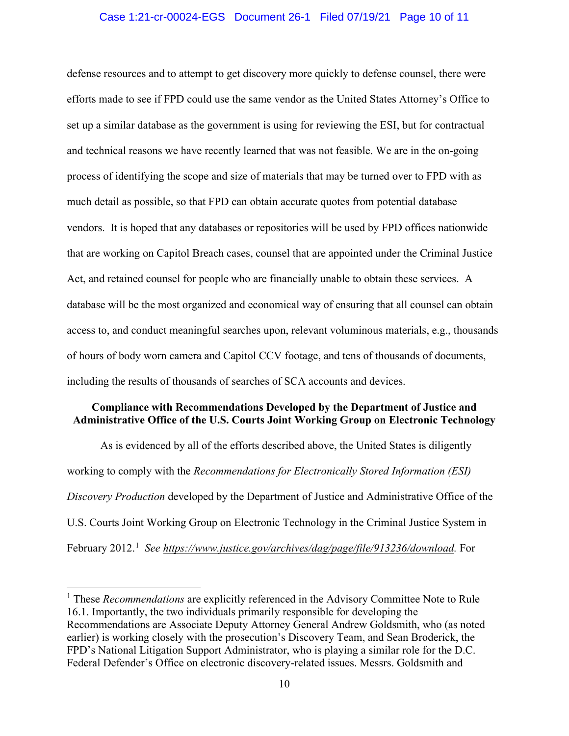### Case 1:21-cr-00024-EGS Document 26-1 Filed 07/19/21 Page 10 of 11

defense resources and to attempt to get discovery more quickly to defense counsel, there were efforts made to see if FPD could use the same vendor as the United States Attorney's Office to set up a similar database as the government is using for reviewing the ESI, but for contractual and technical reasons we have recently learned that was not feasible. We are in the on-going process of identifying the scope and size of materials that may be turned over to FPD with as much detail as possible, so that FPD can obtain accurate quotes from potential database vendors. It is hoped that any databases or repositories will be used by FPD offices nationwide that are working on Capitol Breach cases, counsel that are appointed under the Criminal Justice Act, and retained counsel for people who are financially unable to obtain these services. A database will be the most organized and economical way of ensuring that all counsel can obtain access to, and conduct meaningful searches upon, relevant voluminous materials, e.g., thousands of hours of body worn camera and Capitol CCV footage, and tens of thousands of documents, including the results of thousands of searches of SCA accounts and devices.

## **Compliance with Recommendations Developed by the Department of Justice and Administrative Office of the U.S. Courts Joint Working Group on Electronic Technology**

As is evidenced by all of the efforts described above, the United States is diligently working to comply with the *Recommendations for Electronically Stored Information (ESI) Discovery Production* developed by the Department of Justice and Administrative Office of the U.S. Courts Joint Working Group on Electronic Technology in the Criminal Justice System in February 2012.<sup>1</sup> See https://www.justice.gov/archives/dag/page/file/913236/download. For

<sup>&</sup>lt;sup>1</sup> These *Recommendations* are explicitly referenced in the Advisory Committee Note to Rule 16.1. Importantly, the two individuals primarily responsible for developing the Recommendations are Associate Deputy Attorney General Andrew Goldsmith, who (as noted earlier) is working closely with the prosecution's Discovery Team, and Sean Broderick, the FPD's National Litigation Support Administrator, who is playing a similar role for the D.C. Federal Defender's Office on electronic discovery-related issues. Messrs. Goldsmith and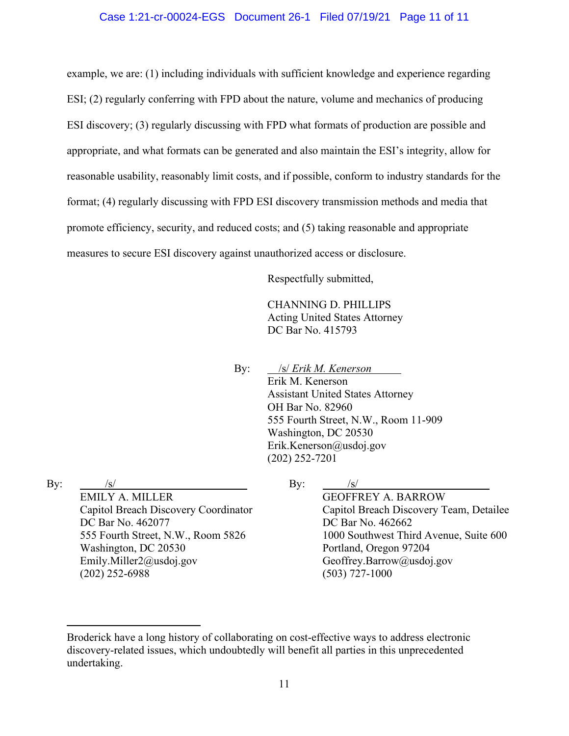### Case 1:21-cr-00024-EGS Document 26-1 Filed 07/19/21 Page 11 of 11

example, we are: (1) including individuals with sufficient knowledge and experience regarding ESI; (2) regularly conferring with FPD about the nature, volume and mechanics of producing ESI discovery; (3) regularly discussing with FPD what formats of production are possible and appropriate, and what formats can be generated and also maintain the ESI's integrity, allow for reasonable usability, reasonably limit costs, and if possible, conform to industry standards for the format; (4) regularly discussing with FPD ESI discovery transmission methods and media that promote efficiency, security, and reduced costs; and (5) taking reasonable and appropriate measures to secure ESI discovery against unauthorized access or disclosure.

Respectfully submitted,

CHANNING D. PHILLIPS Acting United States Attorney DC Bar No. 415793

By: /s/ *Erik M. Kenerson* Erik M. Kenerson Assistant United States Attorney OH Bar No. 82960 555 Fourth Street, N.W., Room 11-909 Washington, DC 20530 Erik.Kenerson@usdoj.gov (202) 252-7201

By:  $/s/$ 

EMILY A. MILLER Capitol Breach Discovery Coordinator DC Bar No. 462077 555 Fourth Street, N.W., Room 5826 Washington, DC 20530 Emily.Miller2@usdoj.gov (202) 252-6988

## By:  $/s/$ GEOFFREY A. BARROW Capitol Breach Discovery Team, Detailee DC Bar No. 462662 1000 Southwest Third Avenue, Suite 600 Portland, Oregon 97204 Geoffrey.Barrow@usdoj.gov (503) 727-1000

Broderick have a long history of collaborating on cost-effective ways to address electronic discovery-related issues, which undoubtedly will benefit all parties in this unprecedented undertaking.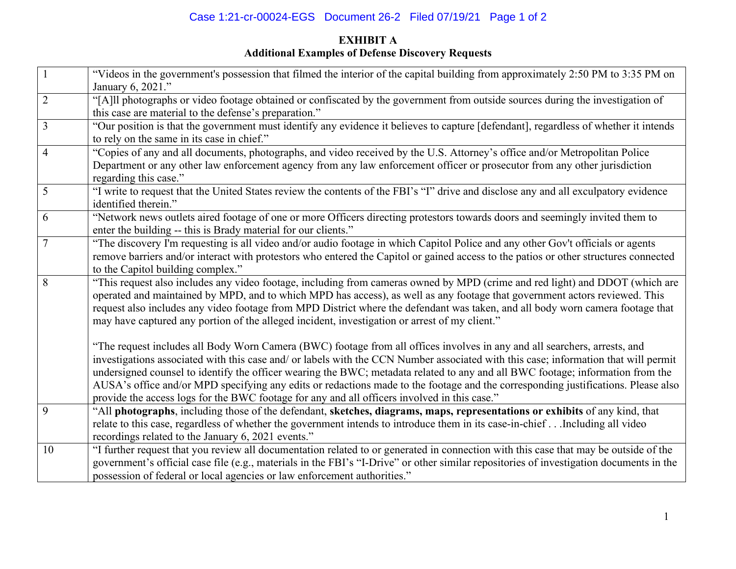# Case 1:21-cr-00024-EGS Document 26-2 Filed 07/19/21 Page 1 of 2

# **EXHIBIT A Additional Examples of Defense Discovery Requests**

|                | "Videos in the government's possession that filmed the interior of the capital building from approximately 2:50 PM to 3:35 PM on<br>January 6, 2021."                                                                                                                                                                                                                                                                                                                                                                                                                                                                                   |
|----------------|-----------------------------------------------------------------------------------------------------------------------------------------------------------------------------------------------------------------------------------------------------------------------------------------------------------------------------------------------------------------------------------------------------------------------------------------------------------------------------------------------------------------------------------------------------------------------------------------------------------------------------------------|
| $\overline{2}$ | "[A]ll photographs or video footage obtained or confiscated by the government from outside sources during the investigation of<br>this case are material to the defense's preparation."                                                                                                                                                                                                                                                                                                                                                                                                                                                 |
| $\overline{3}$ | "Our position is that the government must identify any evidence it believes to capture [defendant], regardless of whether it intends<br>to rely on the same in its case in chief."                                                                                                                                                                                                                                                                                                                                                                                                                                                      |
| $\overline{4}$ | "Copies of any and all documents, photographs, and video received by the U.S. Attorney's office and/or Metropolitan Police<br>Department or any other law enforcement agency from any law enforcement officer or prosecutor from any other jurisdiction<br>regarding this case."                                                                                                                                                                                                                                                                                                                                                        |
| 5              | "I write to request that the United States review the contents of the FBI's "I" drive and disclose any and all exculpatory evidence<br>identified therein."                                                                                                                                                                                                                                                                                                                                                                                                                                                                             |
| 6              | "Network news outlets aired footage of one or more Officers directing protestors towards doors and seemingly invited them to<br>enter the building -- this is Brady material for our clients."                                                                                                                                                                                                                                                                                                                                                                                                                                          |
| 7              | "The discovery I'm requesting is all video and/or audio footage in which Capitol Police and any other Gov't officials or agents<br>remove barriers and/or interact with protestors who entered the Capitol or gained access to the patios or other structures connected<br>to the Capitol building complex."                                                                                                                                                                                                                                                                                                                            |
| 8              | "This request also includes any video footage, including from cameras owned by MPD (crime and red light) and DDOT (which are<br>operated and maintained by MPD, and to which MPD has access), as well as any footage that government actors reviewed. This<br>request also includes any video footage from MPD District where the defendant was taken, and all body worn camera footage that<br>may have captured any portion of the alleged incident, investigation or arrest of my client."                                                                                                                                           |
|                | "The request includes all Body Worn Camera (BWC) footage from all offices involves in any and all searchers, arrests, and<br>investigations associated with this case and/ or labels with the CCN Number associated with this case; information that will permit<br>undersigned counsel to identify the officer wearing the BWC; metadata related to any and all BWC footage; information from the<br>AUSA's office and/or MPD specifying any edits or redactions made to the footage and the corresponding justifications. Please also<br>provide the access logs for the BWC footage for any and all officers involved in this case." |
| 9              | "All photographs, including those of the defendant, sketches, diagrams, maps, representations or exhibits of any kind, that<br>relate to this case, regardless of whether the government intends to introduce them in its case-in-chiefIncluding all video<br>recordings related to the January 6, 2021 events."                                                                                                                                                                                                                                                                                                                        |
| 10             | "I further request that you review all documentation related to or generated in connection with this case that may be outside of the<br>government's official case file (e.g., materials in the FBI's "I-Drive" or other similar repositories of investigation documents in the<br>possession of federal or local agencies or law enforcement authorities."                                                                                                                                                                                                                                                                             |